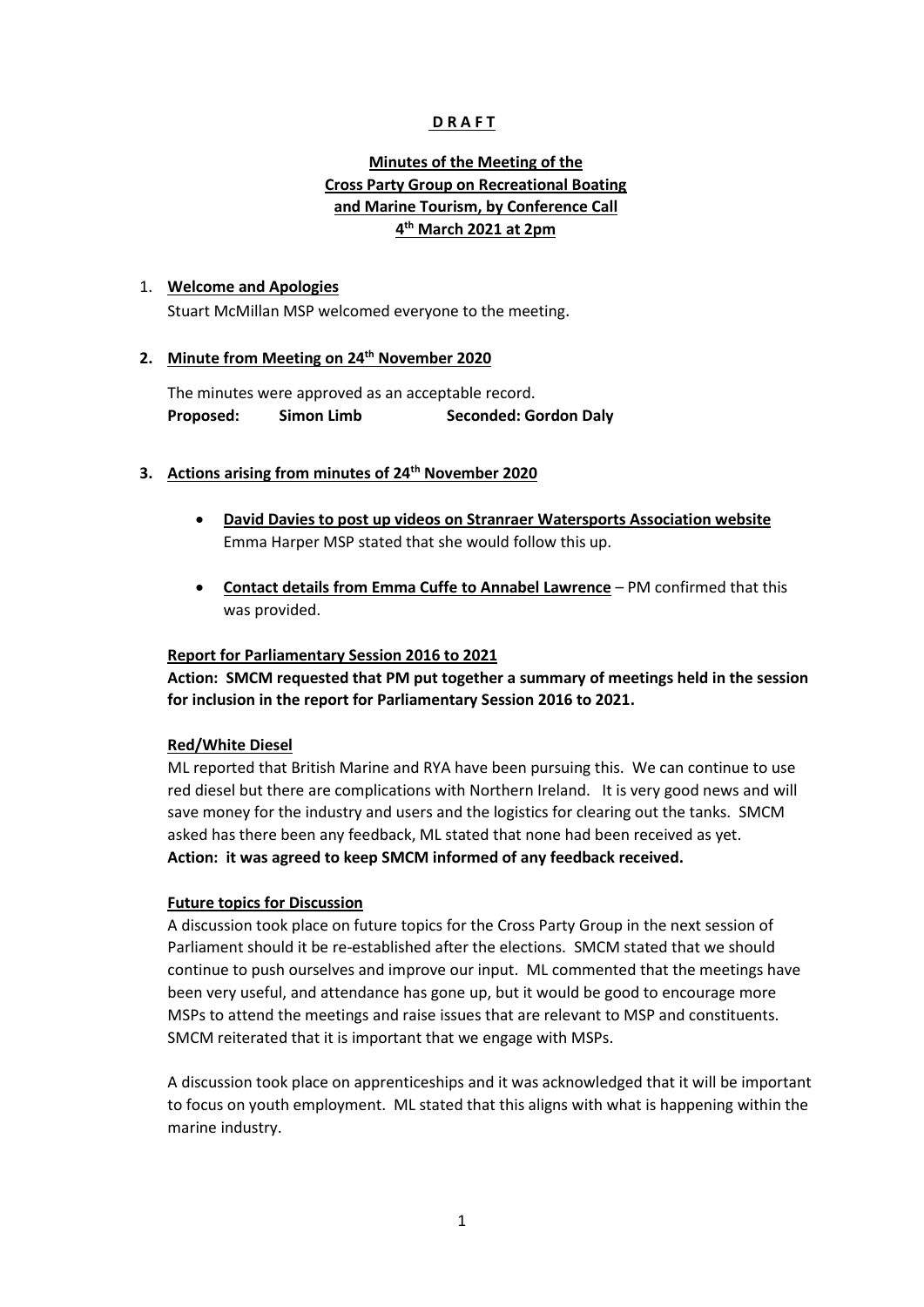## **D R A F T**

# **Minutes of the Meeting of the Cross Party Group on Recreational Boating and Marine Tourism, by Conference Call 4 th March 2021 at 2pm**

## 1. **Welcome and Apologies**

Stuart McMillan MSP welcomed everyone to the meeting.

## **2. Minute from Meeting on 24th November 2020**

The minutes were approved as an acceptable record. **Proposed: Simon Limb Seconded: Gordon Daly**

## **3. Actions arising from minutes of 24th November 2020**

- **David Davies to post up videos on Stranraer Watersports Association website** Emma Harper MSP stated that she would follow this up.
- **Contact details from Emma Cuffe to Annabel Lawrence** PM confirmed that this was provided.

## **Report for Parliamentary Session 2016 to 2021**

**Action: SMCM requested that PM put together a summary of meetings held in the session for inclusion in the report for Parliamentary Session 2016 to 2021.**

## **Red/White Diesel**

ML reported that British Marine and RYA have been pursuing this. We can continue to use red diesel but there are complications with Northern Ireland. It is very good news and will save money for the industry and users and the logistics for clearing out the tanks. SMCM asked has there been any feedback, ML stated that none had been received as yet. **Action: it was agreed to keep SMCM informed of any feedback received.** 

## **Future topics for Discussion**

A discussion took place on future topics for the Cross Party Group in the next session of Parliament should it be re-established after the elections. SMCM stated that we should continue to push ourselves and improve our input. ML commented that the meetings have been very useful, and attendance has gone up, but it would be good to encourage more MSPs to attend the meetings and raise issues that are relevant to MSP and constituents. SMCM reiterated that it is important that we engage with MSPs.

A discussion took place on apprenticeships and it was acknowledged that it will be important to focus on youth employment. ML stated that this aligns with what is happening within the marine industry.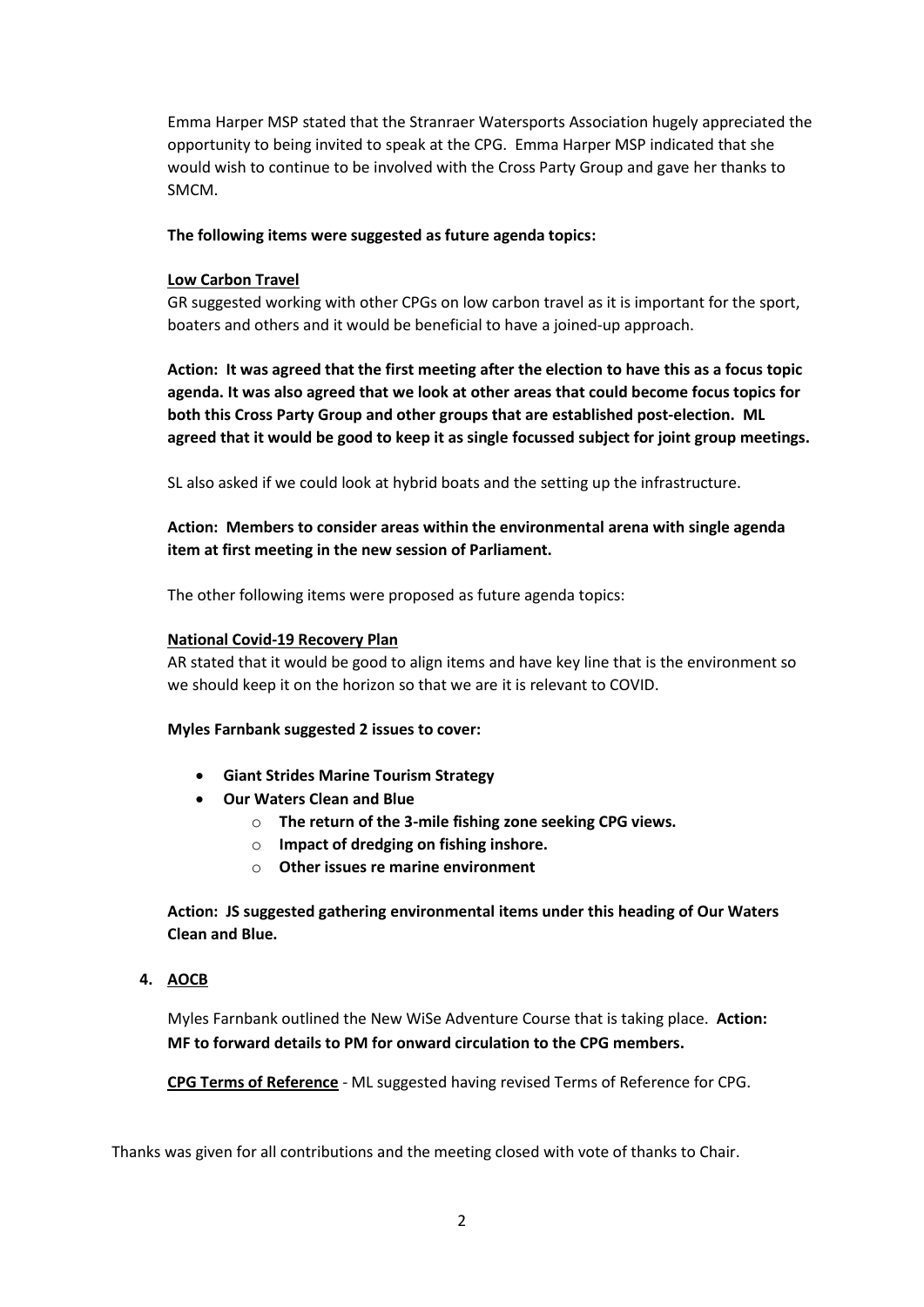Emma Harper MSP stated that the Stranraer Watersports Association hugely appreciated the opportunity to being invited to speak at the CPG. Emma Harper MSP indicated that she would wish to continue to be involved with the Cross Party Group and gave her thanks to SMCM.

## **The following items were suggested as future agenda topics:**

## **Low Carbon Travel**

GR suggested working with other CPGs on low carbon travel as it is important for the sport, boaters and others and it would be beneficial to have a joined-up approach.

**Action: It was agreed that the first meeting after the election to have this as a focus topic agenda. It was also agreed that we look at other areas that could become focus topics for both this Cross Party Group and other groups that are established post-election. ML agreed that it would be good to keep it as single focussed subject for joint group meetings.** 

SL also asked if we could look at hybrid boats and the setting up the infrastructure.

**Action: Members to consider areas within the environmental arena with single agenda item at first meeting in the new session of Parliament.**

The other following items were proposed as future agenda topics:

## **National Covid-19 Recovery Plan**

AR stated that it would be good to align items and have key line that is the environment so we should keep it on the horizon so that we are it is relevant to COVID.

**Myles Farnbank suggested 2 issues to cover:**

- **Giant Strides Marine Tourism Strategy**
- **Our Waters Clean and Blue**
	- o **The return of the 3-mile fishing zone seeking CPG views.**
	- o **Impact of dredging on fishing inshore.**
	- o **Other issues re marine environment**

**Action: JS suggested gathering environmental items under this heading of Our Waters Clean and Blue.**

**4. AOCB**

Myles Farnbank outlined the New WiSe Adventure Course that is taking place. **Action: MF to forward details to PM for onward circulation to the CPG members.**

**CPG Terms of Reference** - ML suggested having revised Terms of Reference for CPG.

Thanks was given for all contributions and the meeting closed with vote of thanks to Chair.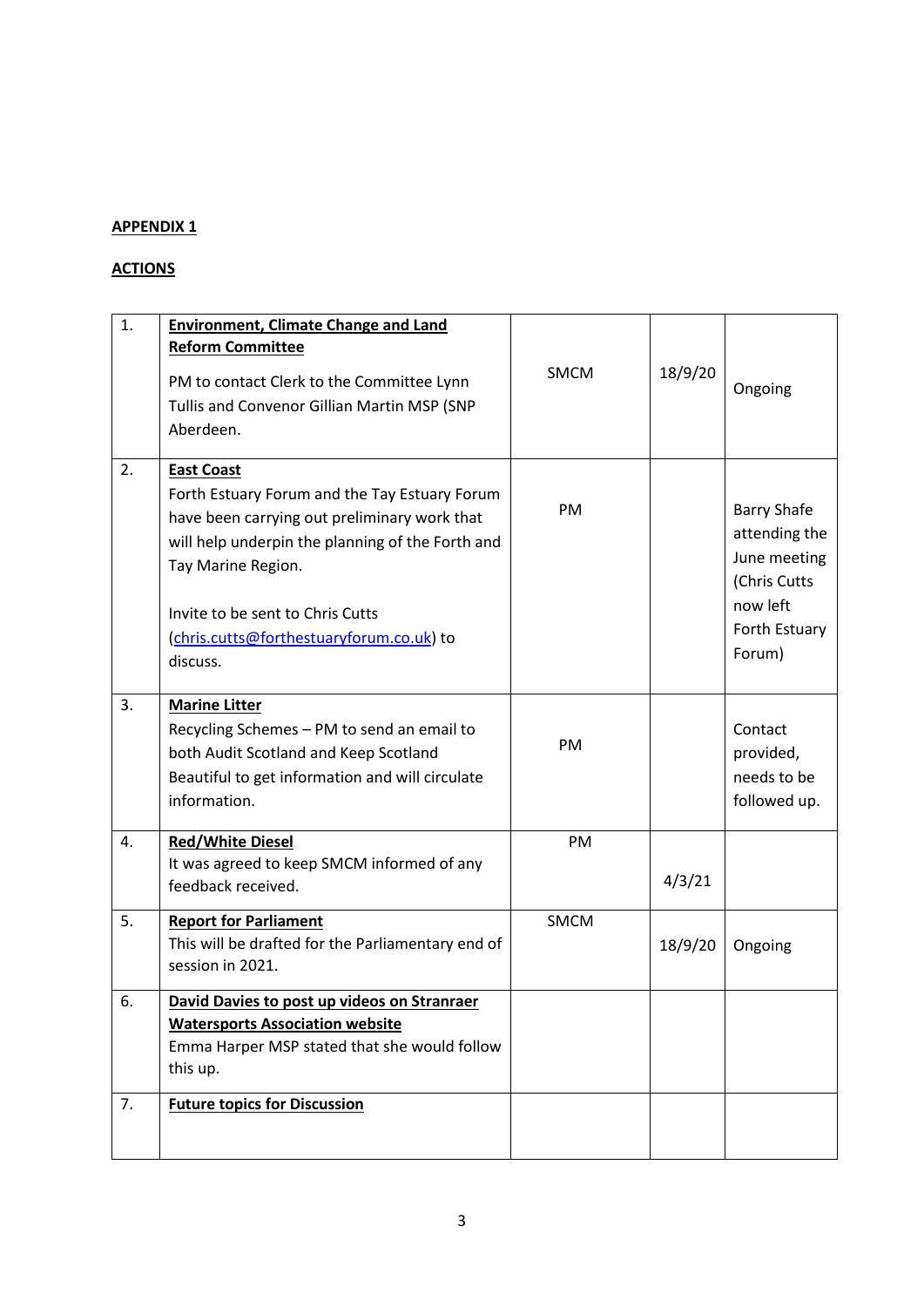# **APPENDIX 1**

# **ACTIONS**

| 1. | <b>Environment, Climate Change and Land</b><br><b>Reform Committee</b><br>PM to contact Clerk to the Committee Lynn<br>Tullis and Convenor Gillian Martin MSP (SNP<br>Aberdeen.                                                                                                          | <b>SMCM</b> | 18/9/20 | Ongoing                                                                                                    |
|----|------------------------------------------------------------------------------------------------------------------------------------------------------------------------------------------------------------------------------------------------------------------------------------------|-------------|---------|------------------------------------------------------------------------------------------------------------|
| 2. | <b>East Coast</b><br>Forth Estuary Forum and the Tay Estuary Forum<br>have been carrying out preliminary work that<br>will help underpin the planning of the Forth and<br>Tay Marine Region.<br>Invite to be sent to Chris Cutts<br>(chris.cutts@forthestuaryforum.co.uk) to<br>discuss. | <b>PM</b>   |         | <b>Barry Shafe</b><br>attending the<br>June meeting<br>(Chris Cutts<br>now left<br>Forth Estuary<br>Forum) |
| 3. | <b>Marine Litter</b><br>Recycling Schemes - PM to send an email to<br>both Audit Scotland and Keep Scotland<br>Beautiful to get information and will circulate<br>information.                                                                                                           | PM          |         | Contact<br>provided,<br>needs to be<br>followed up.                                                        |
| 4. | <b>Red/White Diesel</b><br>It was agreed to keep SMCM informed of any<br>feedback received.                                                                                                                                                                                              | PM          | 4/3/21  |                                                                                                            |
| 5. | <b>Report for Parliament</b><br>This will be drafted for the Parliamentary end of<br>session in 2021.                                                                                                                                                                                    | <b>SMCM</b> | 18/9/20 | Ongoing                                                                                                    |
| 6. | David Davies to post up videos on Stranraer<br><b>Watersports Association website</b><br>Emma Harper MSP stated that she would follow<br>this up.                                                                                                                                        |             |         |                                                                                                            |
| 7. | <b>Future topics for Discussion</b>                                                                                                                                                                                                                                                      |             |         |                                                                                                            |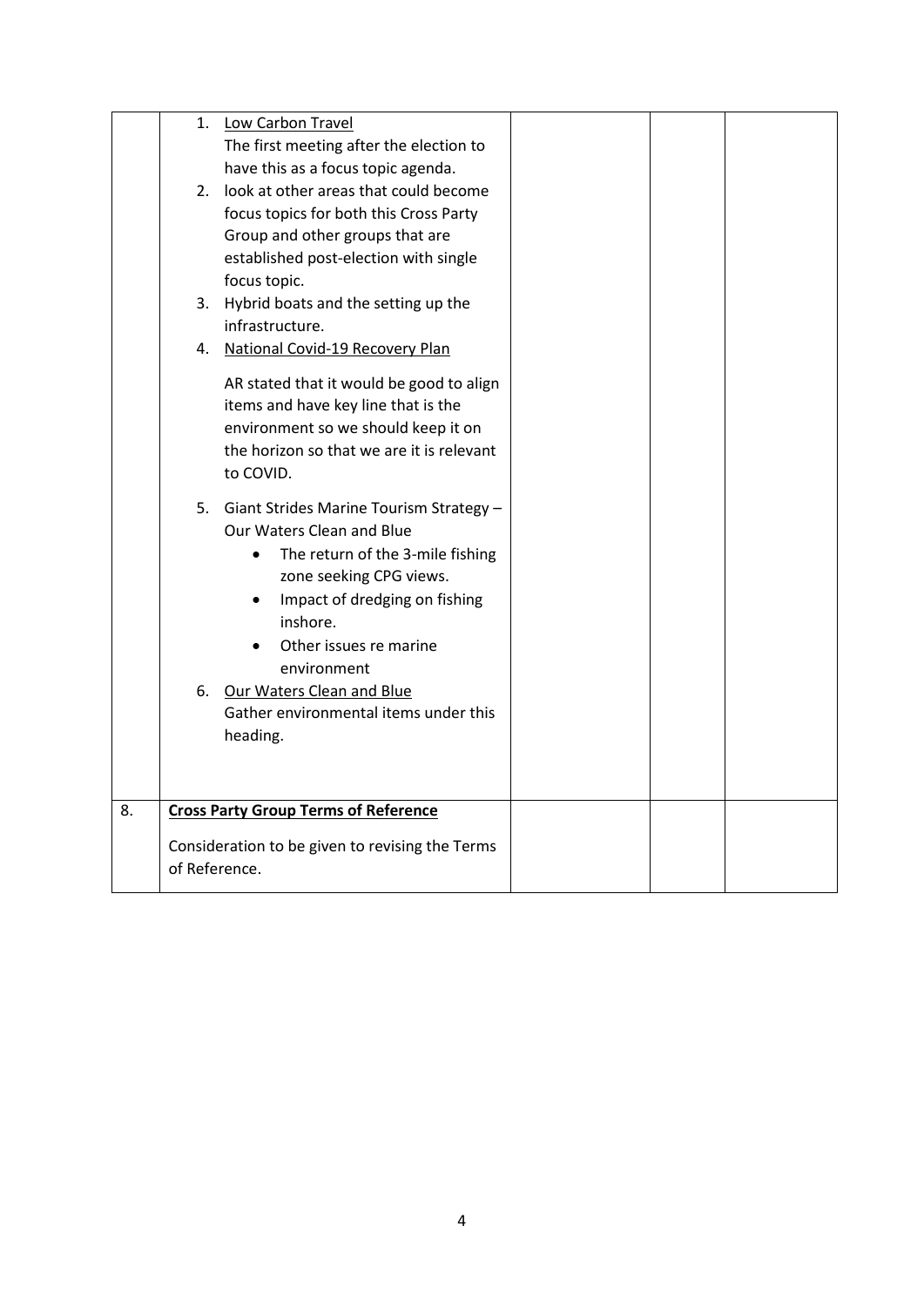|    | 1.            | Low Carbon Travel                                                                                                                                                                                                                                                                                                 |  |  |
|----|---------------|-------------------------------------------------------------------------------------------------------------------------------------------------------------------------------------------------------------------------------------------------------------------------------------------------------------------|--|--|
|    |               | The first meeting after the election to                                                                                                                                                                                                                                                                           |  |  |
|    |               | have this as a focus topic agenda.                                                                                                                                                                                                                                                                                |  |  |
|    |               | 2. look at other areas that could become                                                                                                                                                                                                                                                                          |  |  |
|    |               | focus topics for both this Cross Party                                                                                                                                                                                                                                                                            |  |  |
|    |               | Group and other groups that are                                                                                                                                                                                                                                                                                   |  |  |
|    |               | established post-election with single                                                                                                                                                                                                                                                                             |  |  |
|    |               | focus topic.                                                                                                                                                                                                                                                                                                      |  |  |
|    | 3.            | Hybrid boats and the setting up the                                                                                                                                                                                                                                                                               |  |  |
|    |               | infrastructure.                                                                                                                                                                                                                                                                                                   |  |  |
|    |               | 4. National Covid-19 Recovery Plan                                                                                                                                                                                                                                                                                |  |  |
|    |               | AR stated that it would be good to align                                                                                                                                                                                                                                                                          |  |  |
|    |               | items and have key line that is the                                                                                                                                                                                                                                                                               |  |  |
|    |               | environment so we should keep it on                                                                                                                                                                                                                                                                               |  |  |
|    |               | the horizon so that we are it is relevant                                                                                                                                                                                                                                                                         |  |  |
|    |               | to COVID.                                                                                                                                                                                                                                                                                                         |  |  |
|    |               | 5. Giant Strides Marine Tourism Strategy -<br>Our Waters Clean and Blue<br>The return of the 3-mile fishing<br>zone seeking CPG views.<br>Impact of dredging on fishing<br>inshore.<br>Other issues re marine<br>environment<br>6. Our Waters Clean and Blue<br>Gather environmental items under this<br>heading. |  |  |
|    |               |                                                                                                                                                                                                                                                                                                                   |  |  |
| 8. |               | <b>Cross Party Group Terms of Reference</b>                                                                                                                                                                                                                                                                       |  |  |
|    |               | Consideration to be given to revising the Terms                                                                                                                                                                                                                                                                   |  |  |
|    | of Reference. |                                                                                                                                                                                                                                                                                                                   |  |  |
|    |               |                                                                                                                                                                                                                                                                                                                   |  |  |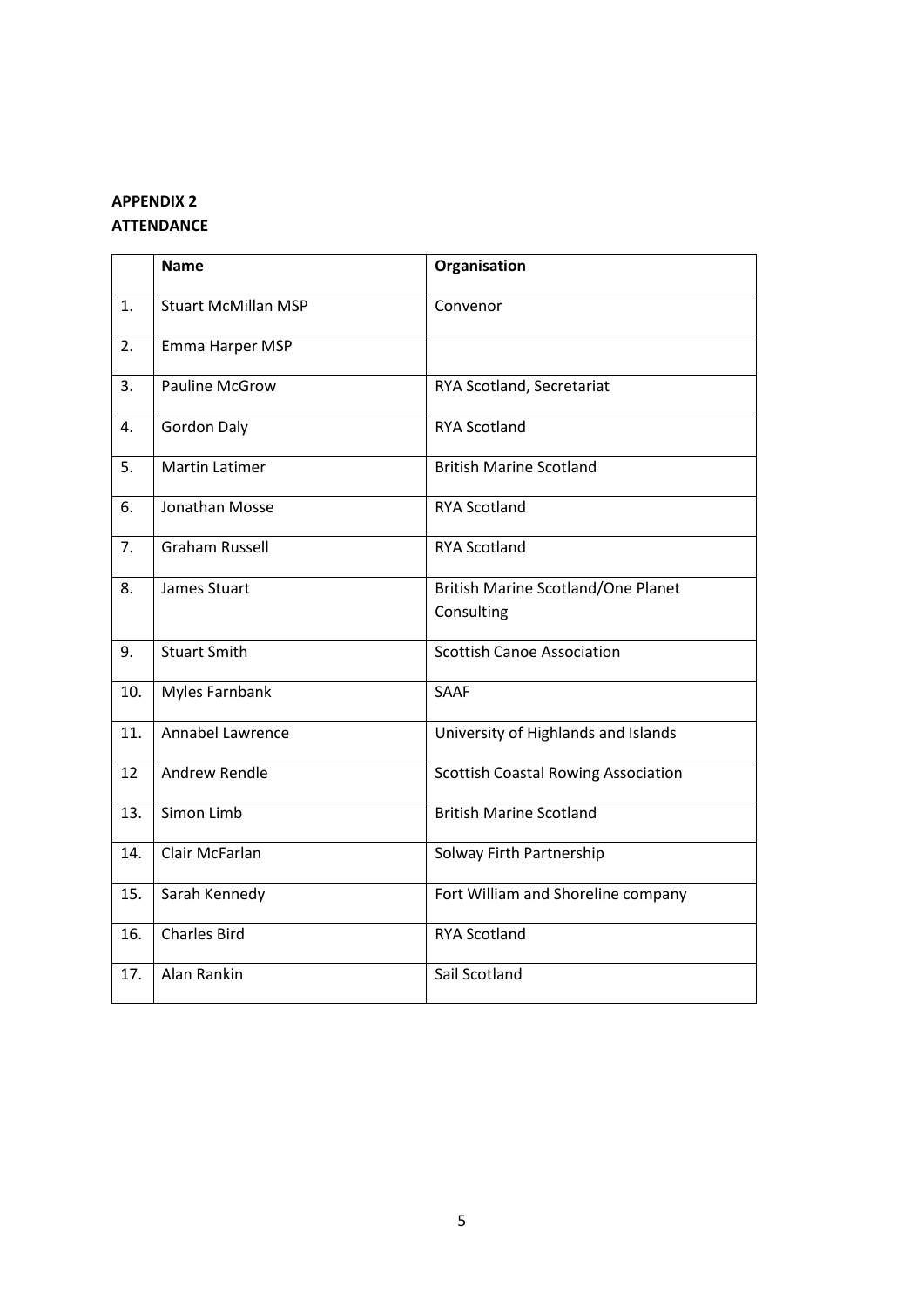# **APPENDIX 2 ATTENDANCE**

|     | <b>Name</b>                | Organisation                                     |
|-----|----------------------------|--------------------------------------------------|
| 1.  | <b>Stuart McMillan MSP</b> | Convenor                                         |
| 2.  | Emma Harper MSP            |                                                  |
| 3.  | <b>Pauline McGrow</b>      | RYA Scotland, Secretariat                        |
| 4.  | <b>Gordon Daly</b>         | <b>RYA Scotland</b>                              |
| 5.  | <b>Martin Latimer</b>      | <b>British Marine Scotland</b>                   |
| 6.  | Jonathan Mosse             | <b>RYA Scotland</b>                              |
| 7.  | <b>Graham Russell</b>      | <b>RYA Scotland</b>                              |
| 8.  | James Stuart               | British Marine Scotland/One Planet<br>Consulting |
| 9.  | <b>Stuart Smith</b>        | <b>Scottish Canoe Association</b>                |
| 10. | Myles Farnbank             | SAAF                                             |
| 11. | Annabel Lawrence           | University of Highlands and Islands              |
| 12  | <b>Andrew Rendle</b>       | <b>Scottish Coastal Rowing Association</b>       |
| 13. | Simon Limb                 | <b>British Marine Scotland</b>                   |
| 14. | Clair McFarlan             | Solway Firth Partnership                         |
| 15. | Sarah Kennedy              | Fort William and Shoreline company               |
| 16. | <b>Charles Bird</b>        | <b>RYA Scotland</b>                              |
| 17. | Alan Rankin                | Sail Scotland                                    |